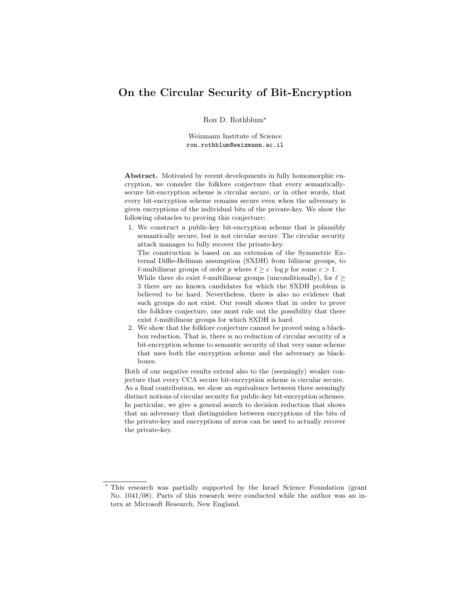# On the Circular Security of Bit-Encryption

Ron D. Rothblum<sup>\*</sup>

Weizmann Institute of Science ron.rothblum@weizmann.ac.il

Abstract. Motivated by recent developments in fully homomorphic encryption, we consider the folklore conjecture that every semanticallysecure bit-encryption scheme is circular secure, or in other words, that every bit-encryption scheme remains secure even when the adversary is given encryptions of the individual bits of the private-key. We show the following obstacles to proving this conjecture:

1. We construct a public-key bit-encryption scheme that is plausibly semantically secure, but is not circular secure. The circular security attack manages to fully recover the private-key.

The construction is based on an extension of the Symmetric External Diffie-Hellman assumption (SXDH) from bilinear groups, to  $\ell$ -multilinear groups of order p where  $\ell \geq c \cdot \log p$  for some  $c > 1$ . While there do exist  $\ell$ -multilinear groups (unconditionally), for  $\ell \geq$ 3 there are no known candidates for which the SXDH problem is believed to be hard. Nevertheless, there is also no evidence that such groups do not exist. Our result shows that in order to prove the folklore conjecture, one must rule out the possibility that there exist  $\ell$ -multilinear groups for which SXDH is hard.

2. We show that the folklore conjecture cannot be proved using a blackbox reduction. That is, there is no reduction of circular security of a bit-encryption scheme to semantic security of that very same scheme that uses both the encryption scheme and the adversary as blackboxes.

Both of our negative results extend also to the (seemingly) weaker conjecture that every CCA secure bit-encryption scheme is circular secure. As a final contribution, we show an equivalence between three seemingly distinct notions of circular security for public-key bit-encryption schemes. In particular, we give a general search to decision reduction that shows that an adversary that distinguishes between encryptions of the bits of the private-key and encryptions of zeros can be used to actually recover the private-key.

This research was partially supported by the Israel Science Foundation (grant No. 1041/08). Parts of this research were conducted while the author was an intern at Microsoft Research, New England.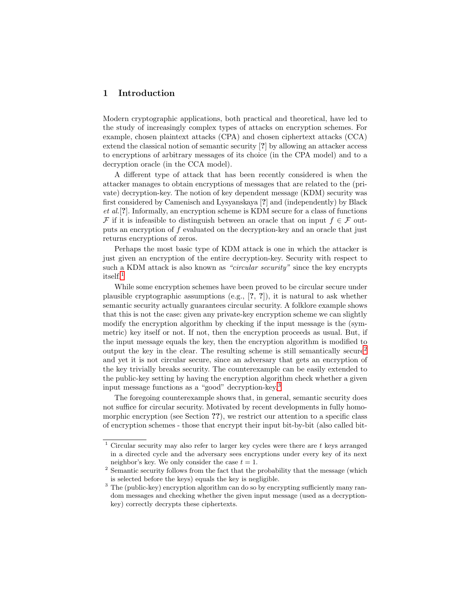# 1 Introduction

Modern cryptographic applications, both practical and theoretical, have led to the study of increasingly complex types of attacks on encryption schemes. For example, chosen plaintext attacks (CPA) and chosen ciphertext attacks (CCA) extend the classical notion of semantic security [?] by allowing an attacker access to encryptions of arbitrary messages of its choice (in the CPA model) and to a decryption oracle (in the CCA model).

A different type of attack that has been recently considered is when the attacker manages to obtain encryptions of messages that are related to the (private) decryption-key. The notion of key dependent message (KDM) security was first considered by Camenisch and Lysyanskaya [?] and (independently) by Black et al.[?]. Informally, an encryption scheme is KDM secure for a class of functions F if it is infeasible to distinguish between an oracle that on input  $f \in \mathcal{F}$  outputs an encryption of f evaluated on the decryption-key and an oracle that just returns encryptions of zeros.

Perhaps the most basic type of KDM attack is one in which the attacker is just given an encryption of the entire decryption-key. Security with respect to such a KDM attack is also known as "circular security" since the key encrypts itself.[1](#page-1-0)

While some encryption schemes have been proved to be circular secure under plausible cryptographic assumptions (e.g.,  $[?, ?]$ ), it is natural to ask whether semantic security actually guarantees circular security. A folklore example shows that this is not the case: given any private-key encryption scheme we can slightly modify the encryption algorithm by checking if the input message is the (symmetric) key itself or not. If not, then the encryption proceeds as usual. But, if the input message equals the key, then the encryption algorithm is modified to output the key in the clear. The resulting scheme is still semantically secure[2](#page-1-1) and yet it is not circular secure, since an adversary that gets an encryption of the key trivially breaks security. The counterexample can be easily extended to the public-key setting by having the encryption algorithm check whether a given input message functions as a "good" decryption-key.[3](#page-1-2)

The foregoing counterexample shows that, in general, semantic security does not suffice for circular security. Motivated by recent developments in fully homomorphic encryption (see Section ??), we restrict our attention to a specific class of encryption schemes - those that encrypt their input bit-by-bit (also called bit-

<span id="page-1-0"></span> $^{\rm 1}$  Circular security may also refer to larger key cycles were there are  $t$  keys arranged in a directed cycle and the adversary sees encryptions under every key of its next neighbor's key. We only consider the case  $t = 1$ .

<sup>&</sup>lt;sup>2</sup> Semantic security follows from the fact that the probability that the message (which is selected before the keys) equals the key is negligible.

<span id="page-1-2"></span><span id="page-1-1"></span><sup>&</sup>lt;sup>3</sup> The (public-key) encryption algorithm can do so by encrypting sufficiently many random messages and checking whether the given input message (used as a decryptionkey) correctly decrypts these ciphertexts.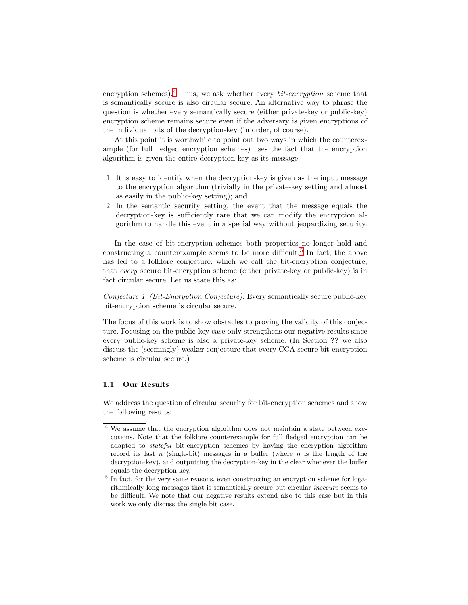encryption schemes).<sup>[4](#page-2-0)</sup> Thus, we ask whether every *bit-encryption* scheme that is semantically secure is also circular secure. An alternative way to phrase the question is whether every semantically secure (either private-key or public-key) encryption scheme remains secure even if the adversary is given encryptions of the individual bits of the decryption-key (in order, of course).

At this point it is worthwhile to point out two ways in which the counterexample (for full fledged encryption schemes) uses the fact that the encryption algorithm is given the entire decryption-key as its message:

- 1. It is easy to identify when the decryption-key is given as the input message to the encryption algorithm (trivially in the private-key setting and almost as easily in the public-key setting); and
- 2. In the semantic security setting, the event that the message equals the decryption-key is sufficiently rare that we can modify the encryption algorithm to handle this event in a special way without jeopardizing security.

In the case of bit-encryption schemes both properties no longer hold and constructing a counterexample seems to be more difficult.<sup>[5](#page-2-1)</sup> In fact, the above has led to a folklore conjecture, which we call the bit-encryption conjecture, that every secure bit-encryption scheme (either private-key or public-key) is in fact circular secure. Let us state this as:

Conjecture 1 (Bit-Encryption Conjecture). Every semantically secure public-key bit-encryption scheme is circular secure.

The focus of this work is to show obstacles to proving the validity of this conjecture. Focusing on the public-key case only strengthens our negative results since every public-key scheme is also a private-key scheme. (In Section ?? we also discuss the (seemingly) weaker conjecture that every CCA secure bit-encryption scheme is circular secure.)

#### 1.1 Our Results

We address the question of circular security for bit-encryption schemes and show the following results:

<span id="page-2-0"></span><sup>4</sup> We assume that the encryption algorithm does not maintain a state between executions. Note that the folklore counterexample for full fledged encryption can be adapted to stateful bit-encryption schemes by having the encryption algorithm record its last  $n$  (single-bit) messages in a buffer (where  $n$  is the length of the decryption-key), and outputting the decryption-key in the clear whenever the buffer equals the decryption-key.

<span id="page-2-1"></span><sup>&</sup>lt;sup>5</sup> In fact, for the very same reasons, even constructing an encryption scheme for logarithmically long messages that is semantically secure but circular insecure seems to be difficult. We note that our negative results extend also to this case but in this work we only discuss the single bit case.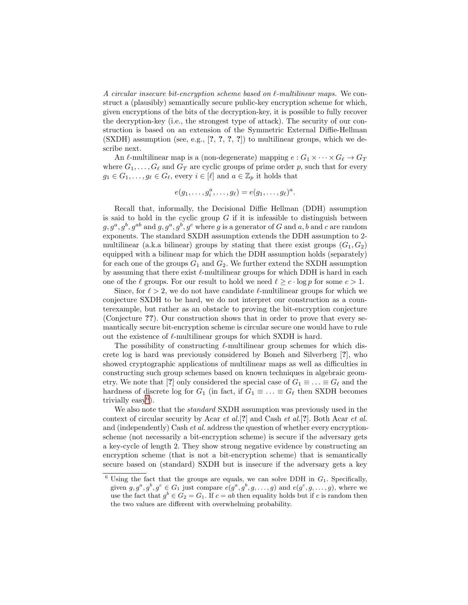A circular insecure bit-encryption scheme based on  $\ell$ -multilinear maps. We construct a (plausibly) semantically secure public-key encryption scheme for which, given encryptions of the bits of the decryption-key, it is possible to fully recover the decryption-key (i.e., the strongest type of attack). The security of our construction is based on an extension of the Symmetric External Diffie-Hellman  $(SXDH)$  assumption (see, e.g.,  $[?,?,?,?]$ ) to multilinear groups, which we describe next.

An  $\ell$ -multilinear map is a (non-degenerate) mapping  $e : G_1 \times \cdots \times G_\ell \to G_T$ where  $G_1, \ldots, G_\ell$  and  $G_T$  are cyclic groups of prime order p, such that for every  $g_1 \in G_1, \ldots, g_\ell \in G_\ell$ , every  $i \in [\ell]$  and  $a \in \mathbb{Z}_p$  it holds that

$$
e(g_1,\ldots,g_i^a,\ldots,g_\ell)=e(g_1,\ldots,g_\ell)^a.
$$

Recall that, informally, the Decisional Diffie Hellman (DDH) assumption is said to hold in the cyclic group  $G$  if it is infeasible to distinguish between  $g, g^a, g^b, g^{ab}$  and  $g, g^a, g^b, g^c$  where g is a generator of G and a, b and c are random exponents. The standard SXDH assumption extends the DDH assumption to 2 multilinear (a.k.a bilinear) groups by stating that there exist groups  $(G_1, G_2)$ equipped with a bilinear map for which the DDH assumption holds (separately) for each one of the groups  $G_1$  and  $G_2$ . We further extend the SXDH assumption by assuming that there exist  $\ell$ -multilinear groups for which DDH is hard in each one of the  $\ell$  groups. For our result to hold we need  $\ell \geq c \cdot \log p$  for some  $c > 1$ .

Since, for  $\ell > 2$ , we do not have candidate  $\ell$ -multilinear groups for which we conjecture SXDH to be hard, we do not interpret our construction as a counterexample, but rather as an obstacle to proving the bit-encryption conjecture (Conjecture ??). Our construction shows that in order to prove that every semantically secure bit-encryption scheme is circular secure one would have to rule out the existence of  $\ell$ -multilinear groups for which SXDH is hard.

The possibility of constructing  $\ell$ -multilinear group schemes for which discrete log is hard was previously considered by Boneh and Silverberg [?], who showed cryptographic applications of multilinear maps as well as difficulties in constructing such group schemes based on known techniques in algebraic geometry. We note that [?] only considered the special case of  $G_1 \equiv \ldots \equiv G_\ell$  and the hardness of discrete log for  $G_1$  (in fact, if  $G_1 \equiv \ldots \equiv G_\ell$  then SXDH becomes trivially  $\cos(y^6)$  $\cos(y^6)$  $\cos(y^6)$ .

We also note that the *standard* SXDH assumption was previously used in the context of circular security by Acar et al.[?] and Cash et al.[?]. Both Acar et al. and (independently) Cash et al. address the question of whether every encryptionscheme (not necessarily a bit-encryption scheme) is secure if the adversary gets a key-cycle of length 2. They show strong negative evidence by constructing an encryption scheme (that is not a bit-encryption scheme) that is semantically secure based on (standard) SXDH but is insecure if the adversary gets a key

<span id="page-3-0"></span> $6$  Using the fact that the groups are equals, we can solve DDH in  $G_1$ . Specifically, given  $g, g^a, g^b, g^c \in G_1$  just compare  $e(g^a, g^b, g, \ldots, g)$  and  $e(g^c, g, \ldots, g)$ , where we use the fact that  $g^b \in G_2 = G_1$ . If  $c = ab$  then equality holds but if c is random then the two values are different with overwhelming probability.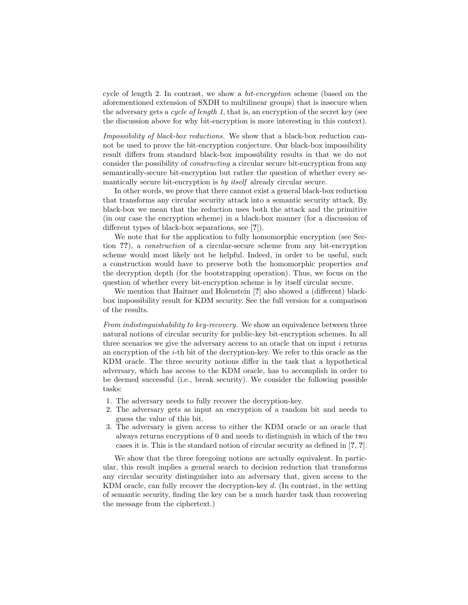cycle of length 2. In contrast, we show a *bit-encryption* scheme (based on the aforementioned extension of SXDH to multilinear groups) that is insecure when the adversary gets a cycle of length 1, that is, an encryption of the secret key (see the discussion above for why bit-encryption is more interesting in this context).

Impossibility of black-box reductions. We show that a black-box reduction cannot be used to prove the bit-encryption conjecture. Our black-box impossibility result differs from standard black-box impossibility results in that we do not consider the possibility of constructing a circular secure bit-encryption from any semantically-secure bit-encryption but rather the question of whether every semantically secure bit-encryption is by itself already circular secure.

In other words, we prove that there cannot exist a general black-box reduction that transforms any circular security attack into a semantic security attack. By black-box we mean that the reduction uses both the attack and the primitive (in our case the encryption scheme) in a black-box manner (for a discussion of different types of black-box separations, see [?]).

We note that for the application to fully homomorphic encryption (see Section ??), a construction of a circular-secure scheme from any bit-encryption scheme would most likely not be helpful. Indeed, in order to be useful, such a construction would have to preserve both the homomorphic properties and the decryption depth (for the bootstrapping operation). Thus, we focus on the question of whether every bit-encryption scheme is by itself circular secure.

We mention that Haitner and Holenstein [?] also showed a (different) blackbox impossibility result for KDM security. See the full version for a comparison of the results.

From indistinguishability to key-recovery. We show an equivalence between three natural notions of circular security for public-key bit-encryption schemes. In all three scenarios we give the adversary access to an oracle that on input  $i$  returns an encryption of the  $i$ -th bit of the decryption-key. We refer to this oracle as the KDM oracle. The three security notions differ in the task that a hypothetical adversary, which has access to the KDM oracle, has to accomplish in order to be deemed successful (i.e., break security). We consider the following possible tasks:

- 1. The adversary needs to fully recover the decryption-key.
- 2. The adversary gets as input an encryption of a random bit and needs to guess the value of this bit.
- 3. The adversary is given access to either the KDM oracle or an oracle that always returns encryptions of 0 and needs to distinguish in which of the two cases it is. This is the standard notion of circular security as defined in [?, ?].

We show that the three foregoing notions are actually equivalent. In particular, this result implies a general search to decision reduction that transforms any circular security distinguisher into an adversary that, given access to the KDM oracle, can fully recover the decryption-key d. (In contrast, in the setting of semantic security, finding the key can be a much harder task than recovering the message from the ciphertext.)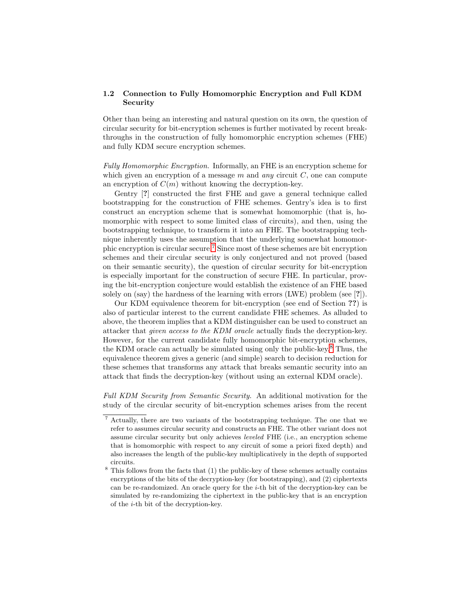## 1.2 Connection to Fully Homomorphic Encryption and Full KDM Security

Other than being an interesting and natural question on its own, the question of circular security for bit-encryption schemes is further motivated by recent breakthroughs in the construction of fully homomorphic encryption schemes (FHE) and fully KDM secure encryption schemes.

Fully Homomorphic Encryption. Informally, an FHE is an encryption scheme for which given an encryption of a message  $m$  and any circuit  $C$ , one can compute an encryption of  $C(m)$  without knowing the decryption-key.

Gentry [?] constructed the first FHE and gave a general technique called bootstrapping for the construction of FHE schemes. Gentry's idea is to first construct an encryption scheme that is somewhat homomorphic (that is, homomorphic with respect to some limited class of circuits), and then, using the bootstrapping technique, to transform it into an FHE. The bootstrapping technique inherently uses the assumption that the underlying somewhat homomorphic encryption is circular secure.[7](#page-5-0) Since most of these schemes are bit encryption schemes and their circular security is only conjectured and not proved (based on their semantic security), the question of circular security for bit-encryption is especially important for the construction of secure FHE. In particular, proving the bit-encryption conjecture would establish the existence of an FHE based solely on (say) the hardness of the learning with errors (LWE) problem (see [?]).

Our KDM equivalence theorem for bit-encryption (see end of Section ??) is also of particular interest to the current candidate FHE schemes. As alluded to above, the theorem implies that a KDM distinguisher can be used to construct an attacker that given access to the KDM oracle actually finds the decryption-key. However, for the current candidate fully homomorphic bit-encryption schemes, the KDM oracle can actually be simulated using only the public-key.[8](#page-5-1) Thus, the equivalence theorem gives a generic (and simple) search to decision reduction for these schemes that transforms any attack that breaks semantic security into an attack that finds the decryption-key (without using an external KDM oracle).

Full KDM Security from Semantic Security. An additional motivation for the study of the circular security of bit-encryption schemes arises from the recent

<span id="page-5-0"></span><sup>7</sup> Actually, there are two variants of the bootstrapping technique. The one that we refer to assumes circular security and constructs an FHE. The other variant does not assume circular security but only achieves leveled FHE (i.e., an encryption scheme that is homomorphic with respect to any circuit of some a priori fixed depth) and also increases the length of the public-key multiplicatively in the depth of supported circuits.

<span id="page-5-1"></span><sup>8</sup> This follows from the facts that (1) the public-key of these schemes actually contains encryptions of the bits of the decryption-key (for bootstrapping), and (2) ciphertexts can be re-randomized. An oracle query for the i-th bit of the decryption-key can be simulated by re-randomizing the ciphertext in the public-key that is an encryption of the i-th bit of the decryption-key.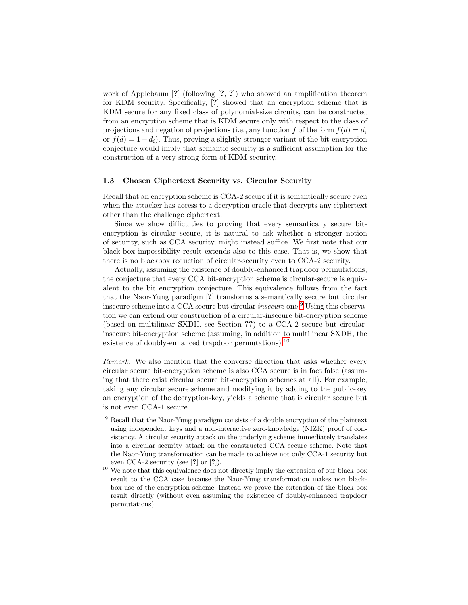work of Applebaum [?] (following [?, ?]) who showed an amplification theorem for KDM security. Specifically, [?] showed that an encryption scheme that is KDM secure for any fixed class of polynomial-size circuits, can be constructed from an encryption scheme that is KDM secure only with respect to the class of projections and negation of projections (i.e., any function f of the form  $f(d) = d_i$ or  $f(d) = 1 - d_i$ . Thus, proving a slightly stronger variant of the bit-encryption conjecture would imply that semantic security is a sufficient assumption for the construction of a very strong form of KDM security.

#### 1.3 Chosen Ciphertext Security vs. Circular Security

Recall that an encryption scheme is CCA-2 secure if it is semantically secure even when the attacker has access to a decryption oracle that decrypts any ciphertext other than the challenge ciphertext.

Since we show difficulties to proving that every semantically secure bitencryption is circular secure, it is natural to ask whether a stronger notion of security, such as CCA security, might instead suffice. We first note that our black-box impossibility result extends also to this case. That is, we show that there is no blackbox reduction of circular-security even to CCA-2 security.

Actually, assuming the existence of doubly-enhanced trapdoor permutations, the conjecture that every CCA bit-encryption scheme is circular-secure is equivalent to the bit encryption conjecture. This equivalence follows from the fact that the Naor-Yung paradigm [?] transforms a semantically secure but circular insecure scheme into a CCA secure but circular insecure one.[9](#page-6-0) Using this observation we can extend our construction of a circular-insecure bit-encryption scheme (based on multilinear SXDH, see Section ??) to a CCA-2 secure but circularinsecure bit-encryption scheme (assuming, in addition to multilinear SXDH, the existence of doubly-enhanced trapdoor permutations).<sup>[10](#page-6-1)</sup>

Remark. We also mention that the converse direction that asks whether every circular secure bit-encryption scheme is also CCA secure is in fact false (assuming that there exist circular secure bit-encryption schemes at all). For example, taking any circular secure scheme and modifying it by adding to the public-key an encryption of the decryption-key, yields a scheme that is circular secure but is not even CCA-1 secure.

<span id="page-6-0"></span> $9$  Recall that the Naor-Yung paradigm consists of a double encryption of the plaintext using independent keys and a non-interactive zero-knowledge (NIZK) proof of consistency. A circular security attack on the underlying scheme immediately translates into a circular security attack on the constructed CCA secure scheme. Note that the Naor-Yung transformation can be made to achieve not only CCA-1 security but even CCA-2 security (see [?] or [?]).

<span id="page-6-1"></span> $^{10}\,$  We note that this equivalence does not directly imply the extension of our black-box result to the CCA case because the Naor-Yung transformation makes non blackbox use of the encryption scheme. Instead we prove the extension of the black-box result directly (without even assuming the existence of doubly-enhanced trapdoor permutations).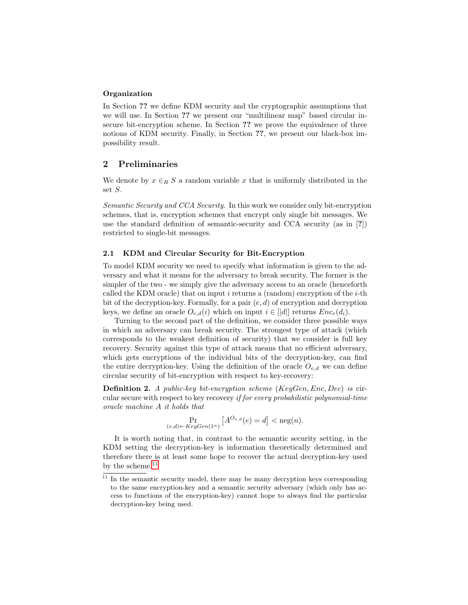#### Organization

In Section ?? we define KDM security and the cryptographic assumptions that we will use. In Section ?? we present our "multilinear map" based circular insecure bit-encryption scheme. In Section ?? we prove the equivalence of three notions of KDM security. Finally, in Section ??, we present our black-box impossibility result.

# 2 Preliminaries

We denote by  $x \in_R S$  a random variable x that is uniformly distributed in the set S.

Semantic Security and CCA Security. In this work we consider only bit-encryption schemes, that is, encryption schemes that encrypt only single bit messages. We use the standard definition of semantic-security and CCA security (as in [?]) restricted to single-bit messages.

## 2.1 KDM and Circular Security for Bit-Encryption

To model KDM security we need to specify what information is given to the adversary and what it means for the adversary to break security. The former is the simpler of the two - we simply give the adversary access to an oracle (henceforth called the KDM oracle) that on input i returns a (random) encryption of the  $i$ -th bit of the decryption-key. Formally, for a pair  $(e, d)$  of encryption and decryption keys, we define an oracle  $O_{e,d}(i)$  which on input  $i \in ||d||$  returns  $Enc_e(d_i)$ .

Turning to the second part of the definition, we consider three possible ways in which an adversary can break security. The strongest type of attack (which corresponds to the weakest definition of security) that we consider is full key recovery. Security against this type of attack means that no efficient adversary, which gets encryptions of the individual bits of the decryption-key, can find the entire decryption-key. Using the definition of the oracle  $O_{e,d}$  we can define circular security of bit-encryption with respect to key-recovery:

Definition 2. A public-key bit-encryption scheme (KeyGen, Enc, Dec) is circular secure with respect to key recovery if for every probabilistic polynomial-time oracle machine A it holds that

$$
\Pr_{(e,d)\leftarrow KeyGen(1^n)} \left[ A^{O_{e,d}}(e) = d \right] < \text{neg}(n).
$$

It is worth noting that, in contrast to the semantic security setting, in the KDM setting the decryption-key is information theoretically determined and therefore there is at least some hope to recover the actual decryption-key used by the scheme. $11$ 

<span id="page-7-0"></span> $11$  In the semantic security model, there may be many decryption keys corresponding to the same encryption-key and a semantic security adversary (which only has access to functions of the encryption-key) cannot hope to always find the particular decryption-key being used.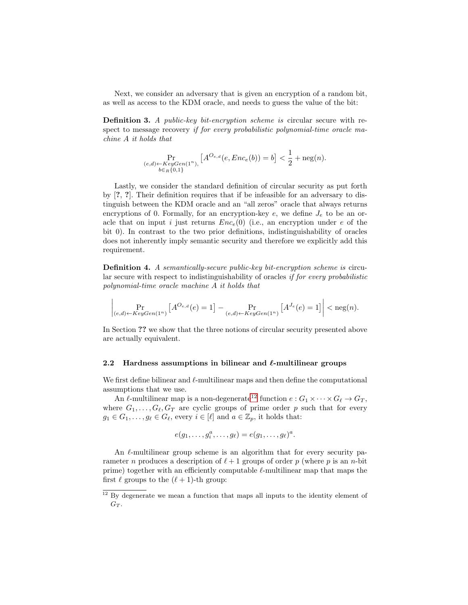Next, we consider an adversary that is given an encryption of a random bit, as well as access to the KDM oracle, and needs to guess the value of the bit:

Definition 3. A public-key bit-encryption scheme is circular secure with respect to message recovery if for every probabilistic polynomial-time oracle machine A it holds that

$$
\Pr_{\substack{(e,d)\leftarrow KeyGen(1^n),\\b\in_R\{0,1\}}} \left[A^{O_{e,d}}(e,Enc_e(b)) = b\right] < \frac{1}{2} + \text{neg}(n).
$$

Lastly, we consider the standard definition of circular security as put forth by [?, ?]. Their definition requires that if be infeasible for an adversary to distinguish between the KDM oracle and an "all zeros" oracle that always returns encryptions of 0. Formally, for an encryption-key  $e$ , we define  $J<sub>e</sub>$  to be an oracle that on input i just returns  $Enc_e(0)$  (i.e., an encryption under e of the bit 0). In contrast to the two prior definitions, indistinguishability of oracles does not inherently imply semantic security and therefore we explicitly add this requirement.

Definition 4. A semantically-secure public-key bit-encryption scheme is circular secure with respect to indistinguishability of oracles if for every probabilistic polynomial-time oracle machine A it holds that

$$
\left|\Pr_{(e,d)\leftarrow KeyGen(1^n)}\left[A^{O_{e,d}}(e) = 1\right] - \Pr_{(e,d)\leftarrow KeyGen(1^n)}\left[A^{J_e}(e) = 1\right]\right| < \text{neg}(n).
$$

In Section ?? we show that the three notions of circular security presented above are actually equivalent.

#### 2.2 Hardness assumptions in bilinear and  $\ell$ -multilinear groups

We first define bilinear and  $\ell$ -multilinear maps and then define the computational assumptions that we use.

An  $\ell$ -multilinear map is a non-degenerate<sup>[12](#page-8-0)</sup> function  $e: G_1 \times \cdots \times G_\ell \to G_T$ , where  $G_1, \ldots, G_\ell, G_T$  are cyclic groups of prime order p such that for every  $g_1 \in G_1, \ldots, g_\ell \in G_\ell$ , every  $i \in [\ell]$  and  $a \in \mathbb{Z}_p$ , it holds that:

$$
e(g_1,\ldots,g_i^a,\ldots,g_\ell)=e(g_1,\ldots,g_\ell)^a.
$$

An  $\ell$ -multilinear group scheme is an algorithm that for every security parameter n produces a description of  $\ell+1$  groups of order p (where p is an n-bit prime) together with an efficiently computable  $\ell$ -multilinear map that maps the first  $\ell$  groups to the  $(\ell + 1)$ -th group:

<span id="page-8-0"></span> $\frac{12}{12}$  By degenerate we mean a function that maps all inputs to the identity element of  $G_T$ .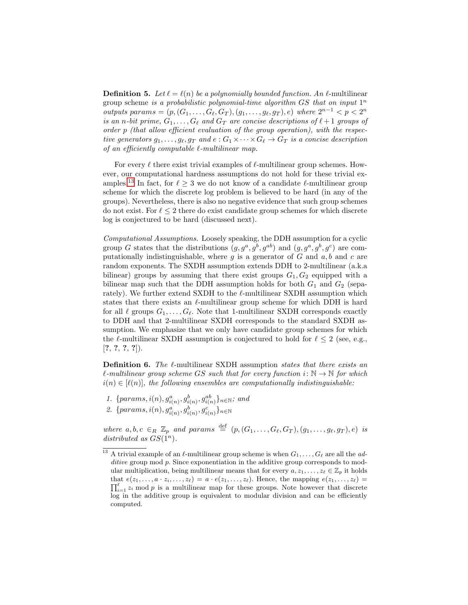**Definition 5.** Let  $\ell = \ell(n)$  be a polynomially bounded function. An  $\ell$ -multilinear group scheme is a probabilistic polynomial-time algorithm  $GS$  that on input  $1<sup>n</sup>$ outputs params =  $(p, (G_1, ..., G_\ell, G_T), (g_1, ..., g_\ell, g_T), e)$  where  $2^{n-1} < p < 2^n$ is an n-bit prime,  $G_1, \ldots, G_\ell$  and  $G_T$  are concise descriptions of  $\ell + 1$  groups of order p (that allow efficient evaluation of the group operation), with the respective generators  $g_1, \ldots, g_\ell, g_T$  and  $e: G_1 \times \cdots \times G_\ell \to G_T$  is a concise description of an efficiently computable  $\ell$ -multilinear map.

For every  $\ell$  there exist trivial examples of  $\ell$ -multilinear group schemes. However, our computational hardness assumptions do not hold for these trivial ex-amples.<sup>[13](#page-9-0)</sup> In fact, for  $\ell > 3$  we do not know of a candidate  $\ell$ -multilinear group scheme for which the discrete log problem is believed to be hard (in any of the groups). Nevertheless, there is also no negative evidence that such group schemes do not exist. For  $\ell \leq 2$  there do exist candidate group schemes for which discrete log is conjectured to be hard (discussed next).

Computational Assumptions. Loosely speaking, the DDH assumption for a cyclic group G states that the distributions  $(g, g^a, g^b, g^{ab})$  and  $(g, g^a, g^b, g^c)$  are computationally indistinguishable, where  $g$  is a generator of  $G$  and  $a, b$  and  $c$  are random exponents. The SXDH assumption extends DDH to 2-multilinear (a.k.a bilinear) groups by assuming that there exist groups  $G_1, G_2$  equipped with a bilinear map such that the DDH assumption holds for both  $G_1$  and  $G_2$  (separately). We further extend SXDH to the  $\ell$ -multilinear SXDH assumption which states that there exists an  $\ell$ -multilinear group scheme for which DDH is hard for all  $\ell$  groups  $G_1, \ldots, G_\ell$ . Note that 1-multilinear SXDH corresponds exactly to DDH and that 2-multilinear SXDH corresponds to the standard SXDH assumption. We emphasize that we only have candidate group schemes for which the  $\ell$ -multilinear SXDH assumption is conjectured to hold for  $\ell \leq 2$  (see, e.g.,  $[?, ?, ?, ?]$ ).

Definition 6. The  $\ell$ -multilinear SXDH assumption states that there exists an  $\ell$ -multilinear group scheme GS such that for every function  $i: \mathbb{N} \to \mathbb{N}$  for which  $i(n) \in [\ell(n)],$  the following ensembles are computationally indistinguishable:

- 1.  ${params, i(n), g_{i(n)}^a, g_{i(n)}^b, g_{i(n)}^{ab} }$ <sub>n∈N</sub>; and
- 2.  ${parans, i(n), g^{a}_{i(n)}, g^{b}_{i(n)}, g^{c}_{i(n)}}_{n \in \mathbb{N}}$

where  $a, b, c \in_R \mathbb{Z}_p$  and params  $\stackrel{\text{def}}{=} (p, (G_1, \ldots, G_\ell, G_T), (g_1, \ldots, g_\ell, g_T), e)$  is distributed as  $GS(1^n)$ .

<span id="page-9-0"></span><sup>&</sup>lt;sup>13</sup> A trivial example of an  $\ell$ -multilinear group scheme is when  $G_1, \ldots, G_\ell$  are all the additive group mod p. Since exponentiation in the additive group corresponds to modular multiplication, being multilinear means that for every  $a, z_1, \ldots, z_\ell \in \mathbb{Z}_p$  it holds that  $e(z_1,\ldots,a\cdot z_i,\ldots,z_\ell)=a\cdot e(z_1,\ldots,z_\ell)$ . Hence, the mapping  $e(z_1,\ldots,z_\ell)=$ that  $e(z_1, \ldots, a \cdot z_i, \ldots, z_\ell) = a \cdot e(z_1, \ldots, z_\ell)$ . Hence, the mapping  $e(z_1, \ldots, z_\ell) = \prod_{i=1}^{\ell} z_i \mod p$  is a multilinear map for these groups. Note however that discrete log in the additive group is equivalent to modular division and can be efficiently computed.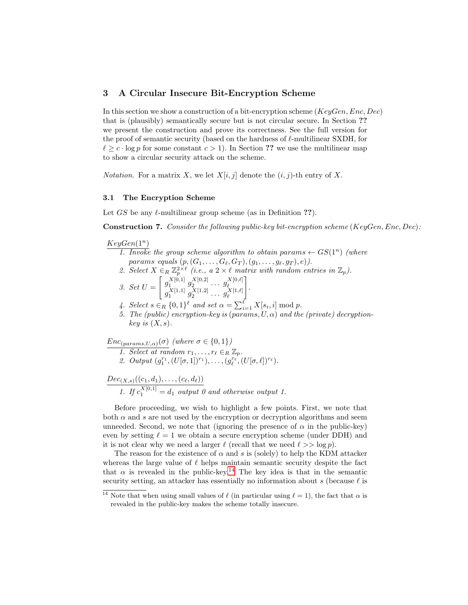## 3 A Circular Insecure Bit-Encryption Scheme

In this section we show a construction of a bit-encryption scheme  $(KeyGen, Enc, Dec)$ that is (plausibly) semantically secure but is not circular secure. In Section ?? we present the construction and prove its correctness. See the full version for the proof of semantic security (based on the hardness of  $\ell$ -multilinear SXDH, for  $\ell > c \cdot \log p$  for some constant  $c > 1$ ). In Section ?? we use the multilinear map to show a circular security attack on the scheme.

*Notation.* For a matrix X, we let  $X[i, j]$  denote the  $(i, j)$ -th entry of X.

## 3.1 The Encryption Scheme

Let  $GS$  be any  $\ell$ -multilinear group scheme (as in Definition ??).

Construction 7. Consider the following public-key bit-encryption scheme (KeyGen, Enc, Dec):

 $KeyGen(1^n)$ 

- 1. Invoke the group scheme algorithm to obtain params  $\leftarrow GS(1^n)$  (where params equals  $(p, (G_1, \ldots, G_\ell, G_T), (g_1, \ldots, g_\ell, g_T), e)$ .
- 2. Select  $X \in_R \mathbb{Z}_p^{2 \times \ell}$  (i.e., a  $2 \times \ell$  matrix with random entries in  $\mathbb{Z}_p$ ).

3. Set 
$$
U = \begin{bmatrix} x^{Y[0,1]} & x^{X[0,2]} & \dots & x^{X[0,\ell]} \\ g_1^{X[1,1]} & g_2^{X[1,2]} & \dots & g_\ell^{X[1,\ell]} \end{bmatrix}
$$

- 4. Select  $s \in_R \{0,1\}^{\ell}$  and set  $\alpha = \sum_{i=1}^{\ell} X[s_i, i] \mod p$ .
- 5. The (public) encryption-key is (params,  $U, \alpha$ ) and the (private) decryptionkey is  $(X, s)$ .

.

 $Enc_{(params, U, \alpha)}(\sigma)$  (where  $\sigma \in \{0, 1\}$ )

- 1. Select at random  $r_1, \ldots, r_\ell \in_R \mathbb{Z}_p$ .
- 2. Output  $(g_1^{r_1}, (U[\sigma, 1])^{r_1}), \ldots, (g_\ell^{r_\ell}, (U[\sigma, \ell])^{r_\ell}).$

$$
\frac{Dec_{(X,s)}((c_1,d_1),\ldots,(c_\ell,d_\ell))}{1.
$$
 If  $c_1^{X[0,1]}=d_1$  output 0 and otherwise output 1.

Before proceeding, we wish to highlight a few points. First, we note that both  $\alpha$  and s are not used by the encryption or decryption algorithms and seem unneeded. Second, we note that (ignoring the presence of  $\alpha$  in the public-key) even by setting  $\ell = 1$  we obtain a secure encryption scheme (under DDH) and it is not clear why we need a larger  $\ell$  (recall that we need  $\ell >> \log p$ ).

The reason for the existence of  $\alpha$  and s is (solely) to help the KDM attacker whereas the large value of  $\ell$  helps maintain semantic security despite the fact that  $\alpha$  is revealed in the public-key.<sup>[14](#page-10-0)</sup> The key idea is that in the semantic security setting, an attacker has essentially no information about  $s$  (because  $\ell$  is

<span id="page-10-0"></span><sup>&</sup>lt;sup>14</sup> Note that when using small values of  $\ell$  (in particular using  $\ell = 1$ ), the fact that  $\alpha$  is revealed in the public-key makes the scheme totally insecure.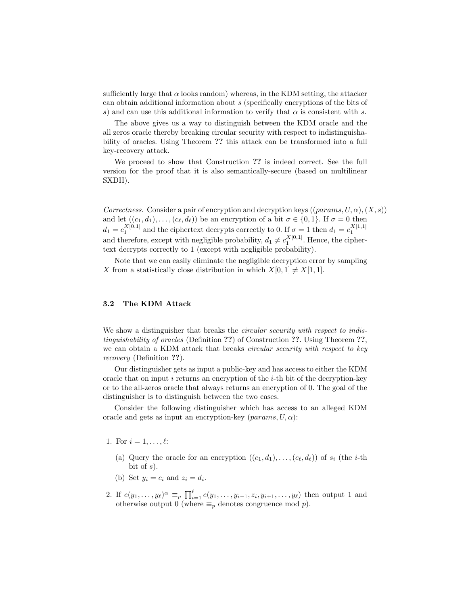sufficiently large that  $\alpha$  looks random) whereas, in the KDM setting, the attacker can obtain additional information about s (specifically encryptions of the bits of s) and can use this additional information to verify that  $\alpha$  is consistent with s.

The above gives us a way to distinguish between the KDM oracle and the all zeros oracle thereby breaking circular security with respect to indistinguishability of oracles. Using Theorem ?? this attack can be transformed into a full key-recovery attack.

We proceed to show that Construction ?? is indeed correct. See the full version for the proof that it is also semantically-secure (based on multilinear SXDH).

Correctness. Consider a pair of encryption and decryption keys  $((params, U, \alpha), (X, s))$ and let  $((c_1, d_1), \ldots, (c_{\ell}, d_{\ell}))$  be an encryption of a bit  $\sigma \in \{0, 1\}$ . If  $\sigma = 0$  then  $d_1 = c_1^{X[0,1]}$  and the ciphertext decrypts correctly to 0. If  $\sigma = 1$  then  $d_1 = c_1^{X[1,1]}$ and therefore, except with negligible probability,  $d_1 \neq c_1^{X[0,1]}$ . Hence, the ciphertext decrypts correctly to 1 (except with negligible probability).

Note that we can easily eliminate the negligible decryption error by sampling X from a statistically close distribution in which  $X[0, 1] \neq X[1, 1]$ .

## 3.2 The KDM Attack

We show a distinguisher that breaks the *circular security with respect to indis*tinguishability of oracles (Definition ??) of Construction ??. Using Theorem ??, we can obtain a KDM attack that breaks circular security with respect to key recovery (Definition ??).

Our distinguisher gets as input a public-key and has access to either the KDM oracle that on input i returns an encryption of the  $i$ -th bit of the decryption-key or to the all-zeros oracle that always returns an encryption of 0. The goal of the distinguisher is to distinguish between the two cases.

Consider the following distinguisher which has access to an alleged KDM oracle and gets as input an encryption-key  $(\text{params}, U, \alpha)$ :

- 1. For  $i = 1, \ldots, \ell$ :
	- (a) Query the oracle for an encryption  $((c_1, d_1), \ldots, (c_{\ell}, d_{\ell}))$  of  $s_i$  (the *i*-th bit of  $s$ ).
	- (b) Set  $y_i = c_i$  and  $z_i = d_i$ .
- 2. If  $e(y_1,..., y_\ell)^\alpha \equiv_p \prod_{i=1}^\ell e(y_1,..., y_{i-1}, z_i, y_{i+1},..., y_\ell)$  then output 1 and otherwise output 0 (where  $\equiv_p$  denotes congruence mod p).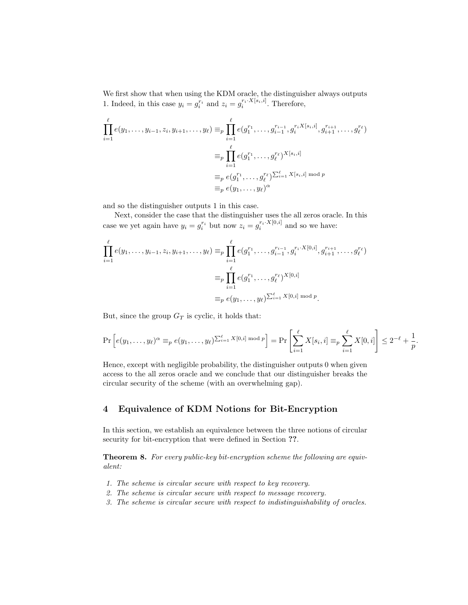We first show that when using the KDM oracle, the distinguisher always outputs 1. Indeed, in this case  $y_i = g_i^{r_i}$  and  $z_i = g_i^{r_i \cdot X[s_i, i]}$ . Therefore,

$$
\prod_{i=1}^{\ell} e(y_1, \dots, y_{i-1}, z_i, y_{i+1}, \dots, y_{\ell}) \equiv_p \prod_{i=1}^{\ell} e(g_1^{r_1}, \dots, g_{i-1}^{r_{i-1}}, g_i^{r_i X[s_i, i]}, g_{i+1}^{r_{i+1}}, \dots, g_{\ell}^{r_{\ell}})
$$
\n
$$
\equiv_p \prod_{i=1}^{\ell} e(g_1^{r_1}, \dots, g_{\ell}^{r_{\ell}})^{X[s_i, i]}
$$
\n
$$
\equiv_p e(g_1^{r_1}, \dots, g_{\ell}^{r_{\ell}})^{\sum_{i=1}^{\ell} X[s_i, i] \mod p}
$$
\n
$$
\equiv_p e(y_1, \dots, y_{\ell})^{\alpha}
$$

and so the distinguisher outputs 1 in this case.

Next, consider the case that the distinguisher uses the all zeros oracle. In this case we yet again have  $y_i = g_i^{r_i}$  but now  $z_i = g_i^{r_i \cdot X[0,i]}$  and so we have:

$$
\prod_{i=1}^{\ell} e(y_1, \dots, y_{i-1}, z_i, y_{i+1}, \dots, y_{\ell}) \equiv_p \prod_{i=1}^{\ell} e(g_1^{r_1}, \dots, g_{i-1}^{r_{i-1}}, g_i^{r_i \cdot X[0, i]}, g_{i+1}^{r_{i+1}}, \dots, g_{\ell}^{r_{\ell}})
$$
\n
$$
\equiv_p \prod_{i=1}^{\ell} e(g_1^{r_1}, \dots, g_{\ell}^{r_{\ell}})^{X[0, i]}
$$
\n
$$
\equiv_p e(y_1, \dots, y_{\ell}) \sum_{i=1}^{\ell} X[0, i] \bmod p.
$$

But, since the group  $G_T$  is cyclic, it holds that:

$$
\Pr\left[e(y_1,\ldots,y_\ell)^\alpha\equiv_p e(y_1,\ldots,y_\ell)^{\sum_{i=1}^\ell X[0,i]\bmod p}\right] = \Pr\left[\sum_{i=1}^\ell X[s_i,i]\equiv_p \sum_{i=1}^\ell X[0,i]\right] \leq 2^{-\ell} + \frac{1}{p}
$$

.

Hence, except with negligible probability, the distinguisher outputs 0 when given access to the all zeros oracle and we conclude that our distinguisher breaks the circular security of the scheme (with an overwhelming gap).

## 4 Equivalence of KDM Notions for Bit-Encryption

In this section, we establish an equivalence between the three notions of circular security for bit-encryption that were defined in Section ??.

Theorem 8. For every public-key bit-encryption scheme the following are equivalent:

- 1. The scheme is circular secure with respect to key recovery.
- 2. The scheme is circular secure with respect to message recovery.
- 3. The scheme is circular secure with respect to indistinguishability of oracles.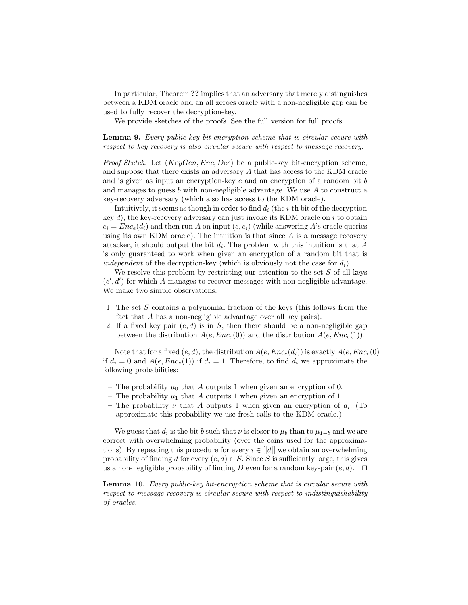In particular, Theorem ?? implies that an adversary that merely distinguishes between a KDM oracle and an all zeroes oracle with a non-negligible gap can be used to fully recover the decryption-key.

We provide sketches of the proofs. See the full version for full proofs.

## Lemma 9. Every public-key bit-encryption scheme that is circular secure with respect to key recovery is also circular secure with respect to message recovery.

Proof Sketch. Let (KeyGen, Enc, Dec) be a public-key bit-encryption scheme, and suppose that there exists an adversary A that has access to the KDM oracle and is given as input an encryption-key  $e$  and an encryption of a random bit  $b$ and manages to guess b with non-negligible advantage. We use  $A$  to construct a key-recovery adversary (which also has access to the KDM oracle).

Intuitively, it seems as though in order to find  $d_i$  (the *i*-th bit of the decryptionkey d), the key-recovery adversary can just invoke its KDM oracle on  $i$  to obtain  $c_i = Enc_e(d_i)$  and then run A on input  $(e, c_i)$  (while answering A's oracle queries using its own KDM oracle). The intuition is that since  $A$  is a message recovery attacker, it should output the bit  $d_i$ . The problem with this intuition is that A is only guaranteed to work when given an encryption of a random bit that is independent of the decryption-key (which is obviously not the case for  $d_i$ ).

We resolve this problem by restricting our attention to the set  $S$  of all keys  $(e', d')$  for which A manages to recover messages with non-negligible advantage. We make two simple observations:

- 1. The set S contains a polynomial fraction of the keys (this follows from the fact that A has a non-negligible advantage over all key pairs).
- 2. If a fixed key pair  $(e, d)$  is in S, then there should be a non-negligible gap between the distribution  $A(e, Enc_e(0))$  and the distribution  $A(e, Enc_e(1))$ .

Note that for a fixed  $(e, d)$ , the distribution  $A(e, Enc_e(d_i))$  is exactly  $A(e, Enc_e(0))$ if  $d_i = 0$  and  $A(e, Enc_e(1))$  if  $d_i = 1$ . Therefore, to find  $d_i$  we approximate the following probabilities:

- The probability  $\mu_0$  that A outputs 1 when given an encryption of 0.
- The probability  $\mu_1$  that A outputs 1 when given an encryption of 1.
- The probability  $\nu$  that A outputs 1 when given an encryption of  $d_i$ . (To approximate this probability we use fresh calls to the KDM oracle.)

We guess that  $d_i$  is the bit b such that  $\nu$  is closer to  $\mu_b$  than to  $\mu_{1-b}$  and we are correct with overwhelming probability (over the coins used for the approximations). By repeating this procedure for every  $i \in ||d||$  we obtain an overwhelming probability of finding d for every  $(e, d) \in S$ . Since S is sufficiently large, this gives us a non-negligible probability of finding D even for a random key-pair  $(e, d)$ . □

**Lemma 10.** Every public-key bit-encryption scheme that is circular secure with respect to message recovery is circular secure with respect to indistinguishability of oracles.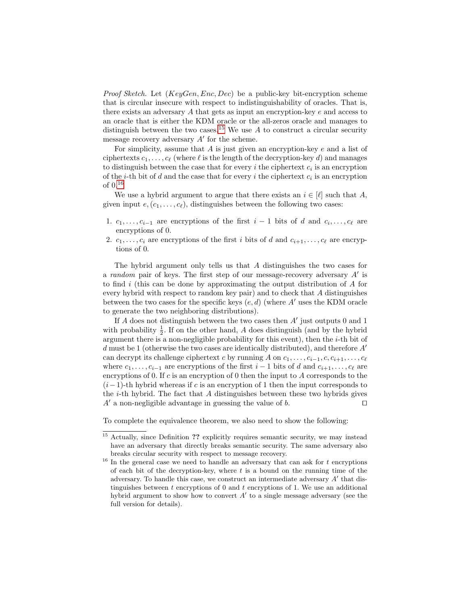*Proof Sketch.* Let  $(KeyGen, Enc, Dec)$  be a public-key bit-encryption scheme that is circular insecure with respect to indistinguishability of oracles. That is, there exists an adversary  $A$  that gets as input an encryption-key  $e$  and access to an oracle that is either the KDM oracle or the all-zeros oracle and manages to distinguish between the two cases.<sup>[15](#page-14-0)</sup> We use A to construct a circular security message recovery adversary  $A'$  for the scheme.

For simplicity, assume that  $A$  is just given an encryption-key  $e$  and a list of ciphertexts  $c_1, \ldots, c_\ell$  (where  $\ell$  is the length of the decryption-key d) and manages to distinguish between the case that for every  $i$  the ciphertext  $c_i$  is an encryption of the *i*-th bit of d and the case that for every i the ciphertext  $c_i$  is an encryption of 0.[16](#page-14-1)

We use a hybrid argument to argue that there exists an  $i \in [\ell]$  such that A, given input  $e, (c_1, \ldots, c_\ell)$ , distinguishes between the following two cases:

- 1.  $c_1, \ldots, c_{i-1}$  are encryptions of the first  $i-1$  bits of d and  $c_i, \ldots, c_\ell$  are encryptions of 0.
- 2.  $c_1, \ldots, c_i$  are encryptions of the first i bits of d and  $c_{i+1}, \ldots, c_{\ell}$  are encryptions of 0.

The hybrid argument only tells us that A distinguishes the two cases for a random pair of keys. The first step of our message-recovery adversary  $A'$  is to find i (this can be done by approximating the output distribution of A for every hybrid with respect to random key pair) and to check that A distinguishes between the two cases for the specific keys  $(e, d)$  (where A' uses the KDM oracle to generate the two neighboring distributions).

If  $A$  does not distinguish between the two cases then  $A'$  just outputs 0 and 1 with probability  $\frac{1}{2}$ . If on the other hand, A does distinguish (and by the hybrid argument there is a non-negligible probability for this event), then the  $i$ -th bit of d must be 1 (otherwise the two cases are identically distributed), and therefore  $A'$ can decrypt its challenge ciphertext c by running A on  $c_1, \ldots, c_{i-1}, c, c_{i+1}, \ldots, c_\ell$ where  $c_1, \ldots, c_{i-1}$  are encryptions of the first  $i-1$  bits of d and  $c_{i+1}, \ldots, c_\ell$  are encryptions of 0. If  $c$  is an encryption of 0 then the input to  $A$  corresponds to the  $(i-1)$ -th hybrid whereas if c is an encryption of 1 then the input corresponds to the  $i$ -th hybrid. The fact that  $A$  distinguishes between these two hybrids gives A' a non-negligible advantage in guessing the value of b.  $\Box$ 

To complete the equivalence theorem, we also need to show the following:

<span id="page-14-0"></span><sup>&</sup>lt;sup>15</sup> Actually, since Definition ?? explicitly requires semantic security, we may instead have an adversary that directly breaks semantic security. The same adversary also breaks circular security with respect to message recovery.

<span id="page-14-1"></span> $16$  In the general case we need to handle an adversary that can ask for t encryptions of each bit of the decryption-key, where  $t$  is a bound on the running time of the adversary. To handle this case, we construct an intermediate adversary A' that distinguishes between  $t$  encryptions of 0 and  $t$  encryptions of 1. We use an additional hybrid argument to show how to convert  $A'$  to a single message adversary (see the full version for details).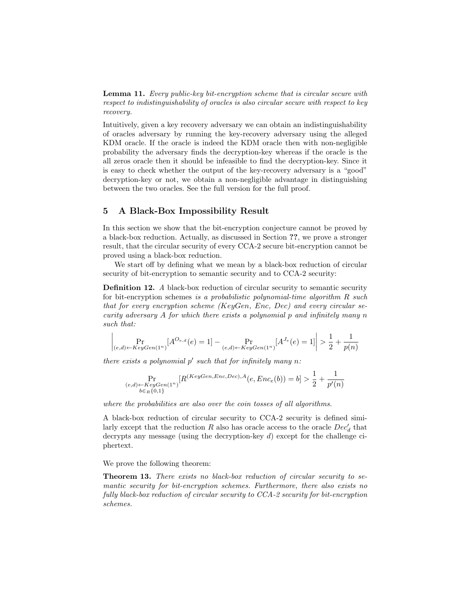**Lemma 11.** Every public-key bit-encryption scheme that is circular secure with respect to indistinguishability of oracles is also circular secure with respect to key recovery.

Intuitively, given a key recovery adversary we can obtain an indistinguishability of oracles adversary by running the key-recovery adversary using the alleged KDM oracle. If the oracle is indeed the KDM oracle then with non-negligible probability the adversary finds the decryption-key whereas if the oracle is the all zeros oracle then it should be infeasible to find the decryption-key. Since it is easy to check whether the output of the key-recovery adversary is a "good" decryption-key or not, we obtain a non-negligible advantage in distinguishing between the two oracles. See the full version for the full proof.

## 5 A Black-Box Impossibility Result

In this section we show that the bit-encryption conjecture cannot be proved by a black-box reduction. Actually, as discussed in Section ??, we prove a stronger result, that the circular security of every CCA-2 secure bit-encryption cannot be proved using a black-box reduction.

We start off by defining what we mean by a black-box reduction of circular security of bit-encryption to semantic security and to CCA-2 security:

Definition 12. A black-box reduction of circular security to semantic security for bit-encryption schemes is a probabilistic polynomial-time algorithm R such that for every encryption scheme (KeyGen, Enc, Dec) and every circular security adversary A for which there exists a polynomial p and infinitely many n such that:

$$
\left| \Pr_{(e,d)\leftarrow KeyGen(1^n)}[A^{O_{e,d}}(e) = 1] - \Pr_{(e,d)\leftarrow KeyGen(1^n)}[A^{J_e}(e) = 1] \right| > \frac{1}{2} + \frac{1}{p(n)}
$$

there exists a polynomial  $p'$  such that for infinitely many n:

$$
\Pr_{\substack{(e,d) \leftarrow KeyGen(1^n) \\ b \in R\{0,1\}}} [R^{(KeyGen,Enc,Dec),A}(e,Enc_e(b)) = b] > \frac{1}{2} + \frac{1}{p'(n)}
$$

where the probabilities are also over the coin tosses of all algorithms.

A black-box reduction of circular security to CCA-2 security is defined similarly except that the reduction  $R$  also has oracle access to the oracle  $Dec'_{d}$  that decrypts any message (using the decryption-key d) except for the challenge ciphertext.

We prove the following theorem:

Theorem 13. There exists no black-box reduction of circular security to semantic security for bit-encryption schemes. Furthermore, there also exists no fully black-box reduction of circular security to CCA-2 security for bit-encryption schemes.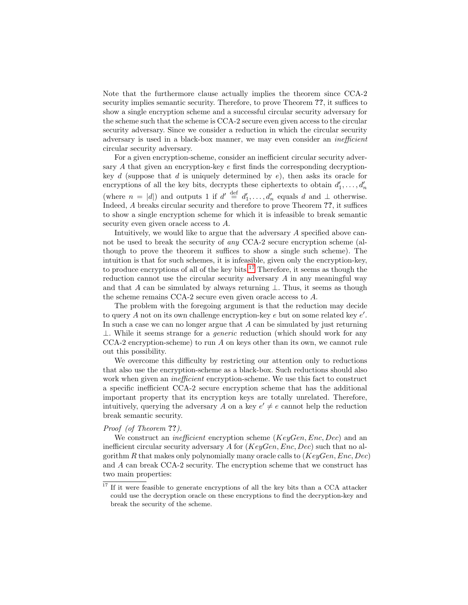Note that the furthermore clause actually implies the theorem since CCA-2 security implies semantic security. Therefore, to prove Theorem ??, it suffices to show a single encryption scheme and a successful circular security adversary for the scheme such that the scheme is CCA-2 secure even given access to the circular security adversary. Since we consider a reduction in which the circular security adversary is used in a black-box manner, we may even consider an inefficient circular security adversary.

For a given encryption-scheme, consider an inefficient circular security adversary A that given an encryption-key e first finds the corresponding decryptionkey  $d$  (suppose that  $d$  is uniquely determined by  $e$ ), then asks its oracle for encryptions of all the key bits, decrypts these ciphertexts to obtain  $d'_1, \ldots, d'_n$ (where  $n = |d|$ ) and outputs 1 if  $d' \stackrel{\text{def}}{=} d'_1, \ldots, d'_n$  equals d and  $\perp$  otherwise. Indeed, A breaks circular security and therefore to prove Theorem ??, it suffices to show a single encryption scheme for which it is infeasible to break semantic security even given oracle access to A.

Intuitively, we would like to argue that the adversary A specified above cannot be used to break the security of *any* CCA-2 secure encryption scheme (although to prove the theorem it suffices to show a single such scheme). The intuition is that for such schemes, it is infeasible, given only the encryption-key, to produce encryptions of all of the key bits.[17](#page-16-0) Therefore, it seems as though the reduction cannot use the circular security adversary A in any meaningful way and that A can be simulated by always returning  $\perp$ . Thus, it seems as though the scheme remains CCA-2 secure even given oracle access to A.

The problem with the foregoing argument is that the reduction may decide to query  $A$  not on its own challenge encryption-key  $e$  but on some related key  $e'$ . In such a case we can no longer argue that A can be simulated by just returning ⊥. While it seems strange for a *generic* reduction (which should work for any  $CCA-2$  encryption-scheme) to run A on keys other than its own, we cannot rule out this possibility.

We overcome this difficulty by restricting our attention only to reductions that also use the encryption-scheme as a black-box. Such reductions should also work when given an *inefficient* encryption-scheme. We use this fact to construct a specific inefficient CCA-2 secure encryption scheme that has the additional important property that its encryption keys are totally unrelated. Therefore, intuitively, querying the adversary A on a key  $e' \neq e$  cannot help the reduction break semantic security.

## Proof (of Theorem ??).

We construct an *inefficient* encryption scheme  $(KeyGen, Enc, Dec)$  and an inefficient circular security adversary A for  $(KeyGen, Enc, Dec)$  such that no algorithm R that makes only polynomially many oracle calls to  $(KeyGen, Enc, Dec)$ and A can break CCA-2 security. The encryption scheme that we construct has two main properties:

<span id="page-16-0"></span> $17$  If it were feasible to generate encryptions of all the key bits than a CCA attacker could use the decryption oracle on these encryptions to find the decryption-key and break the security of the scheme.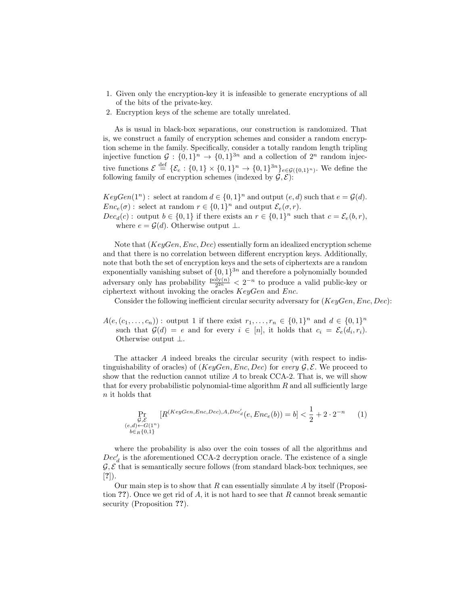- 1. Given only the encryption-key it is infeasible to generate encryptions of all of the bits of the private-key.
- 2. Encryption keys of the scheme are totally unrelated.

As is usual in black-box separations, our construction is randomized. That is, we construct a family of encryption schemes and consider a random encryption scheme in the family. Specifically, consider a totally random length tripling injective function  $\mathcal{G}: \{0,1\}^n \to \{0,1\}^{3n}$  and a collection of  $2^n$  random injective functions  $\mathcal{E} \stackrel{\text{def}}{=} {\{\mathcal{E}_e : \{0,1\} \times \{0,1\}^n \to \{0,1\}^{3n}\}}_{e \in \mathcal{G}(\{0,1\}^n)}$ . We define the following family of encryption schemes (indexed by  $\mathcal{G}, \mathcal{E}$ ):

 $KeyGen(1<sup>n</sup>)$ : select at random  $d \in \{0,1\}^n$  and output  $(e, d)$  such that  $e = \mathcal{G}(d)$ .  $Enc_e(\sigma)$ : select at random  $r \in \{0,1\}^n$  and output  $\mathcal{E}_e(\sigma, r)$ .  $Dec_d(c)$ : output  $b \in \{0,1\}$  if there exists an  $r \in \{0,1\}^n$  such that  $c = \mathcal{E}_e(b,r)$ ,

where  $e = \mathcal{G}(d)$ . Otherwise output  $\perp$ .

Note that  $(KeyGen, Enc, Dec)$  essentially form an idealized encryption scheme and that there is no correlation between different encryption keys. Additionally, note that both the set of encryption keys and the sets of ciphertexts are a random exponentially vanishing subset of  $\{0,1\}^{3n}$  and therefore a polynomially bounded adversary only has probability  $\frac{\text{poly}(n)}{2^{2n}} < 2^{-n}$  to produce a valid public-key or ciphertext without invoking the oracles KeyGen and Enc.

Consider the following inefficient circular security adversary for  $(KeyGen, Enc, Dec)$ :

 $A(e, (c_1, ..., c_n))$ : output 1 if there exist  $r_1, ..., r_n \in \{0, 1\}^n$  and  $d \in \{0, 1\}^n$ such that  $\mathcal{G}(d) = e$  and for every  $i \in [n]$ , it holds that  $c_i = \mathcal{E}_e(d_i, r_i)$ . Otherwise output ⊥.

The attacker A indeed breaks the circular security (with respect to indistinguishability of oracles) of (KeyGen, Enc, Dec) for every  $\mathcal{G}, \mathcal{E}$ . We proceed to show that the reduction cannot utilize  $A$  to break CCA-2. That is, we will show that for every probabilistic polynomial-time algorithm  $R$  and all sufficiently large n it holds that

$$
\Pr_{\substack{G,\mathcal{E}\\(e,d)\leftarrow G(1^n)\\b\in_R\{0,1\}}} [R^{(KeyGen,Enc,Dec),A,Dec'_d}(e,Enc_e(b)) = b] < \frac{1}{2} + 2 \cdot 2^{-n} \tag{1}
$$

where the probability is also over the coin tosses of all the algorithms and  $Dec'_{d}$  is the aforementioned CCA-2 decryption oracle. The existence of a single  $\mathcal{G}, \mathcal{E}$  that is semantically secure follows (from standard black-box techniques, see [?]).

Our main step is to show that  $R$  can essentially simulate  $A$  by itself (Proposition ??). Once we get rid of  $A$ , it is not hard to see that  $R$  cannot break semantic security (Proposition ??).